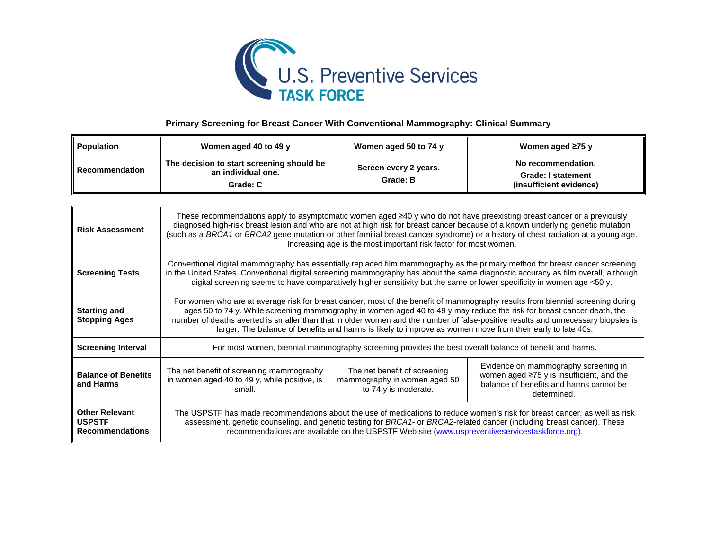

## **Primary Screening for Breast Cancer With Conventional Mammography: Clinical Summary**

| Population            | Women aged 40 to 49 y                                                       | Women aged 50 to 74 y             | Women aged $\geq 75$ y                                                     |
|-----------------------|-----------------------------------------------------------------------------|-----------------------------------|----------------------------------------------------------------------------|
| <b>Recommendation</b> | The decision to start screening should be<br>an individual one.<br>Grade: C | Screen every 2 years.<br>Grade: B | No recommendation.<br><b>Grade: I statement</b><br>(insufficient evidence) |

| <b>Risk Assessment</b>                                           | These recommendations apply to asymptomatic women aged ≥40 y who do not have preexisting breast cancer or a previously<br>diagnosed high-risk breast lesion and who are not at high risk for breast cancer because of a known underlying genetic mutation<br>(such as a BRCA1 or BRCA2 gene mutation or other familial breast cancer syndrome) or a history of chest radiation at a young age.<br>Increasing age is the most important risk factor for most women.                                          |                                                                                      |                                                                                                                                                   |
|------------------------------------------------------------------|-------------------------------------------------------------------------------------------------------------------------------------------------------------------------------------------------------------------------------------------------------------------------------------------------------------------------------------------------------------------------------------------------------------------------------------------------------------------------------------------------------------|--------------------------------------------------------------------------------------|---------------------------------------------------------------------------------------------------------------------------------------------------|
| <b>Screening Tests</b>                                           | Conventional digital mammography has essentially replaced film mammography as the primary method for breast cancer screening<br>in the United States. Conventional digital screening mammography has about the same diagnostic accuracy as film overall, although<br>digital screening seems to have comparatively higher sensitivity but the same or lower specificity in women age <50 y.                                                                                                                 |                                                                                      |                                                                                                                                                   |
| <b>Starting and</b><br><b>Stopping Ages</b>                      | For women who are at average risk for breast cancer, most of the benefit of mammography results from biennial screening during<br>ages 50 to 74 y. While screening mammography in women aged 40 to 49 y may reduce the risk for breast cancer death, the<br>number of deaths averted is smaller than that in older women and the number of false-positive results and unnecessary biopsies is<br>larger. The balance of benefits and harms is likely to improve as women move from their early to late 40s. |                                                                                      |                                                                                                                                                   |
| <b>Screening Interval</b>                                        | For most women, biennial mammography screening provides the best overall balance of benefit and harms.                                                                                                                                                                                                                                                                                                                                                                                                      |                                                                                      |                                                                                                                                                   |
| <b>Balance of Benefits</b><br>and Harms                          | The net benefit of screening mammography<br>in women aged 40 to 49 y, while positive, is<br>small.                                                                                                                                                                                                                                                                                                                                                                                                          | The net benefit of screening<br>mammography in women aged 50<br>to 74 y is moderate. | Evidence on mammography screening in<br>women aged $\geq 75$ y is insufficient, and the<br>balance of benefits and harms cannot be<br>determined. |
| <b>Other Relevant</b><br><b>USPSTF</b><br><b>Recommendations</b> | The USPSTF has made recommendations about the use of medications to reduce women's risk for breast cancer, as well as risk<br>assessment, genetic counseling, and genetic testing for BRCA1- or BRCA2-related cancer (including breast cancer). These<br>recommendations are available on the USPSTF Web site (www.uspreventiveservicestaskforce.org).                                                                                                                                                      |                                                                                      |                                                                                                                                                   |